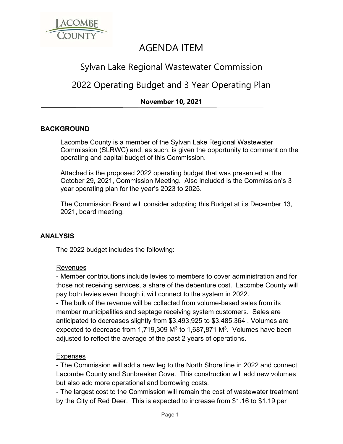

# AGENDA ITEM

## Sylvan Lake Regional Wastewater Commission

## 2022 Operating Budget and 3 Year Operating Plan

## **November 10, 2021**

#### **BACKGROUND**

Lacombe County is a member of the Sylvan Lake Regional Wastewater Commission (SLRWC) and, as such, is given the opportunity to comment on the operating and capital budget of this Commission.

Attached is the proposed 2022 operating budget that was presented at the October 29, 2021, Commission Meeting. Also included is the Commission's 3 year operating plan for the year's 2023 to 2025.

The Commission Board will consider adopting this Budget at its December 13, 2021, board meeting.

#### **ANALYSIS**

The 2022 budget includes the following:

#### Revenues

- Member contributions include levies to members to cover administration and for those not receiving services, a share of the debenture cost. Lacombe County will pay both levies even though it will connect to the system in 2022.

- The bulk of the revenue will be collected from volume-based sales from its member municipalities and septage receiving system customers. Sales are anticipated to decreases slightly from \$3,493,925 to \$3,485,364 . Volumes are expected to decrease from 1,719,309  $M<sup>3</sup>$  to 1,687,871  $M<sup>3</sup>$ . Volumes have been adjusted to reflect the average of the past 2 years of operations.

#### Expenses

- The Commission will add a new leg to the North Shore line in 2022 and connect Lacombe County and Sunbreaker Cove. This construction will add new volumes but also add more operational and borrowing costs.

- The largest cost to the Commission will remain the cost of wastewater treatment by the City of Red Deer. This is expected to increase from \$1.16 to \$1.19 per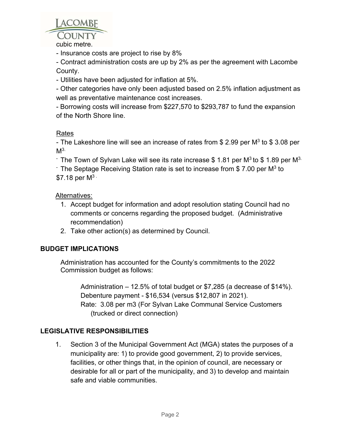

cubic metre.

- Insurance costs are project to rise by 8%

- Contract administration costs are up by 2% as per the agreement with Lacombe County.

- Utilities have been adjusted for inflation at 5%.

- Other categories have only been adjusted based on 2.5% inflation adjustment as well as preventative maintenance cost increases.

- Borrowing costs will increase from \$227,570 to \$293,787 to fund the expansion of the North Shore line.

## Rates

- The Lakeshore line will see an increase of rates from \$ 2.99 per  $M^3$  to \$ 3.08 per  $M<sup>3</sup>$ 

 $\,$  The Town of Sylvan Lake will see its rate increase \$ 1.81 per M<sup>3</sup> to \$ 1.89 per M<sup>3.</sup>  $\cdot$  The Septage Receiving Station rate is set to increase from \$ 7.00 per M<sup>3</sup> to  $$7.18$  per  $M^3$ 

## Alternatives:

- 1. Accept budget for information and adopt resolution stating Council had no comments or concerns regarding the proposed budget. (Administrative recommendation)
- 2. Take other action(s) as determined by Council.

## **BUDGET IMPLICATIONS**

Administration has accounted for the County's commitments to the 2022 Commission budget as follows:

 Administration – 12.5% of total budget or \$7,285 (a decrease of \$14%). Debenture payment - \$16,534 (versus \$12,807 in 2021). Rate: 3.08 per m3 (For Sylvan Lake Communal Service Customers (trucked or direct connection)

## **LEGISLATIVE RESPONSIBILITIES**

1. Section 3 of the Municipal Government Act (MGA) states the purposes of a municipality are: 1) to provide good government, 2) to provide services, facilities, or other things that, in the opinion of council, are necessary or desirable for all or part of the municipality, and 3) to develop and maintain safe and viable communities.